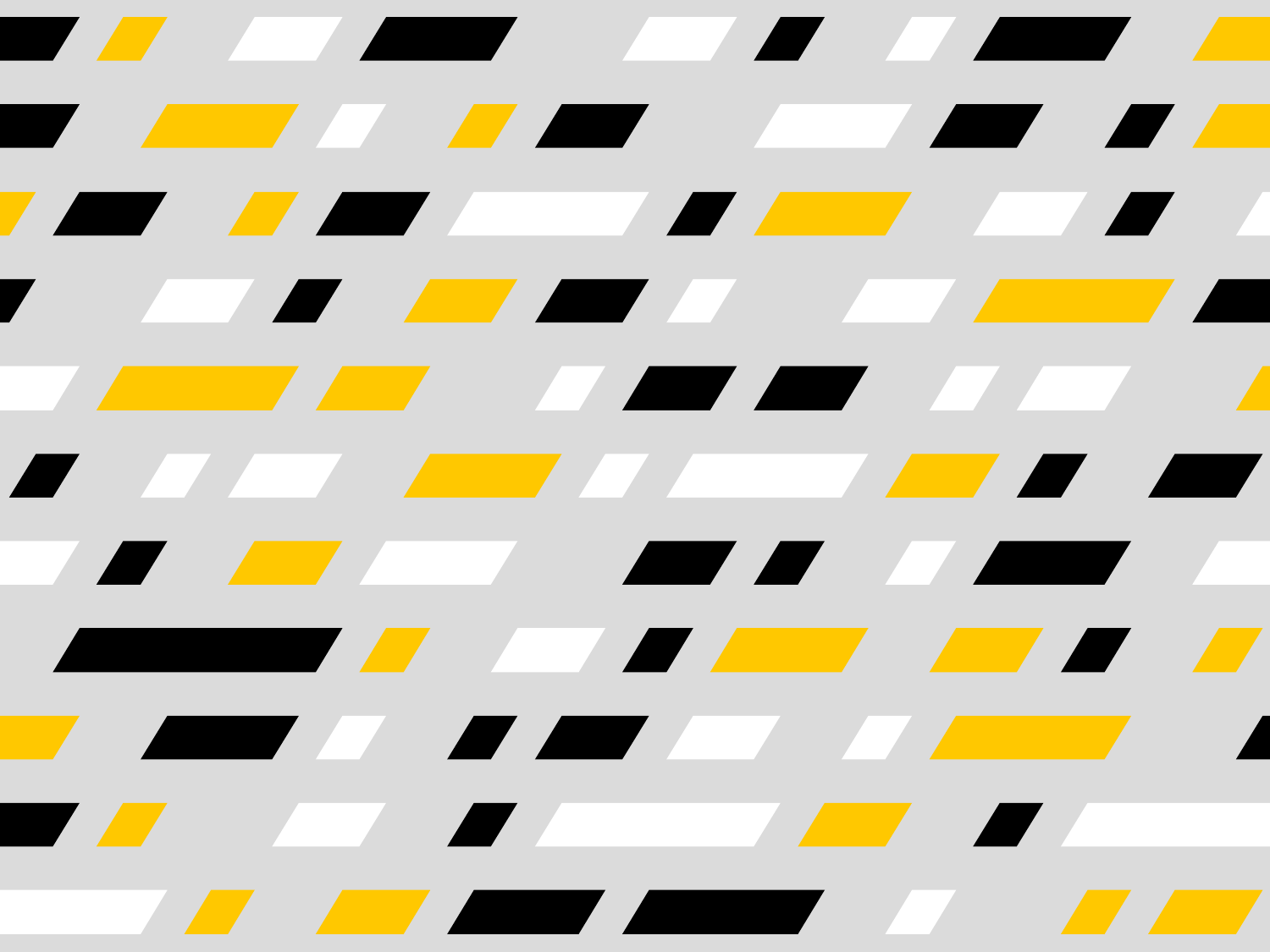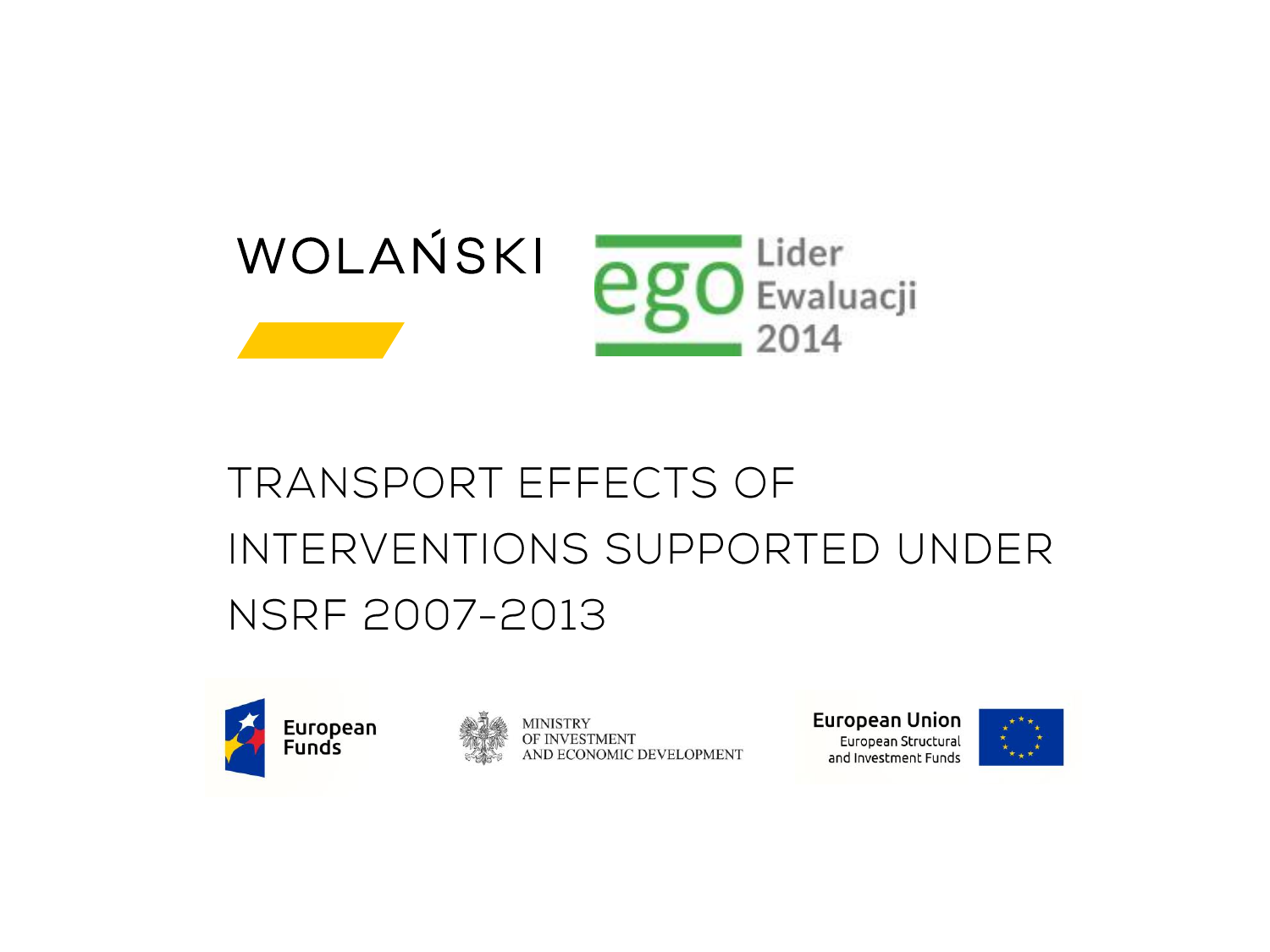

# TRANSPORT EFFECTS OF INTERVENTIONS SUPPORTED UNDER NSRF 2007-2013



**MINISTRY** OF INVESTMENT AND ECONOMIC DEVELOPMENT **European Union** European Structural and Investment Funds

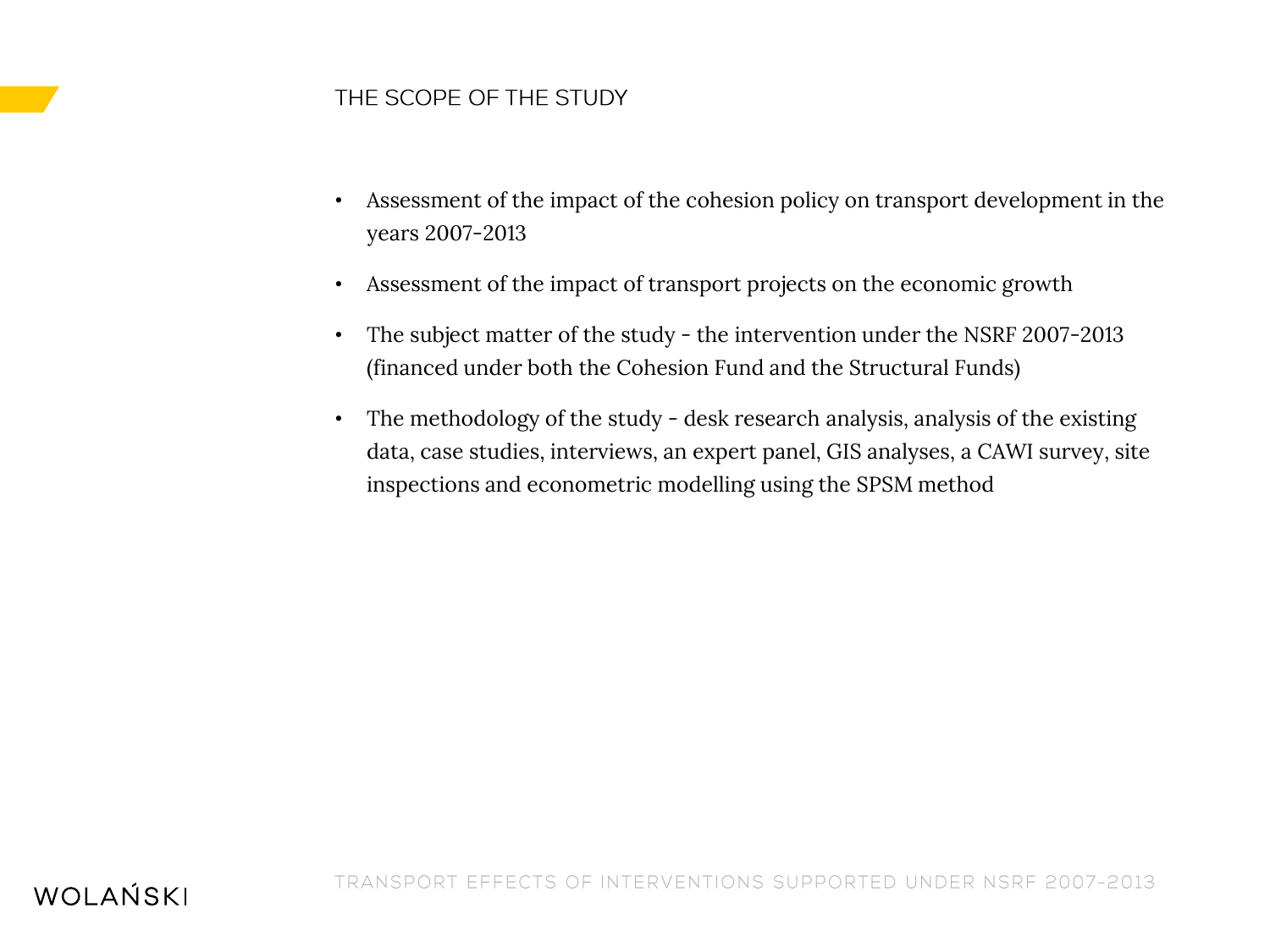### THE SCOPE OF THE STUDY

- Assessment of the impact of the cohesion policy on transport development in the years 2007-2013
- Assessment of the impact of transport projects on the economic growth
- The subject matter of the study the intervention under the NSRF 2007-2013 (financed under both the Cohesion Fund and the Structural Funds)
- The methodology of the study desk research analysis, analysis of the existing data, case studies, interviews, an expert panel, GIS analyses, a CAWI survey, site inspections and econometric modelling using the SPSM method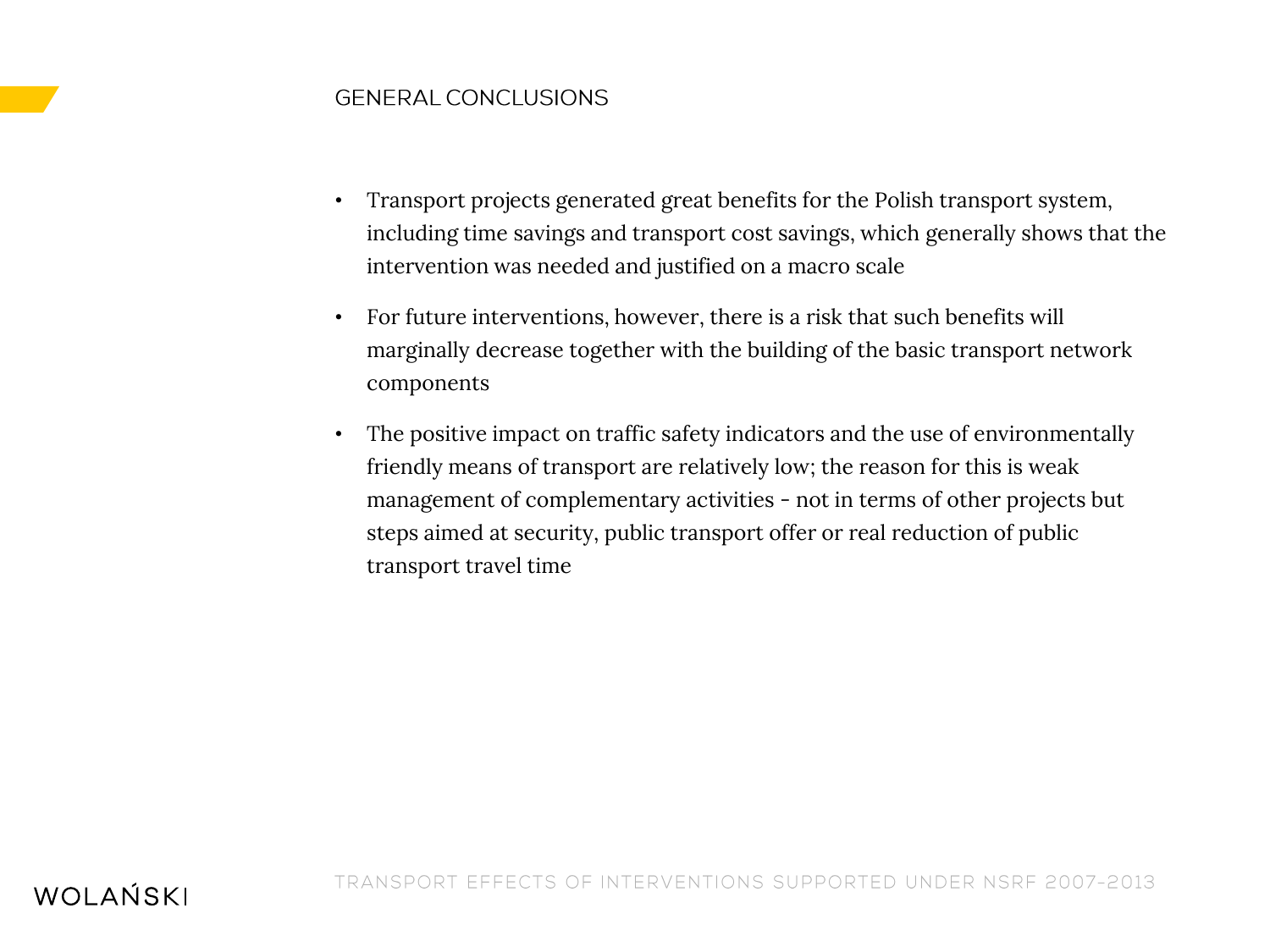### **GENERAL CONCLUSIONS**

- Transport projects generated great benefits for the Polish transport system, including time savings and transport cost savings, which generally shows that the intervention was needed and justified on a macro scale
- For future interventions, however, there is a risk that such benefits will marginally decrease together with the building of the basic transport network components
- The positive impact on traffic safety indicators and the use of environmentally friendly means of transport are relatively low; the reason for this is weak management of complementary activities - not in terms of other projects but steps aimed at security, public transport offer or real reduction of public transport travel time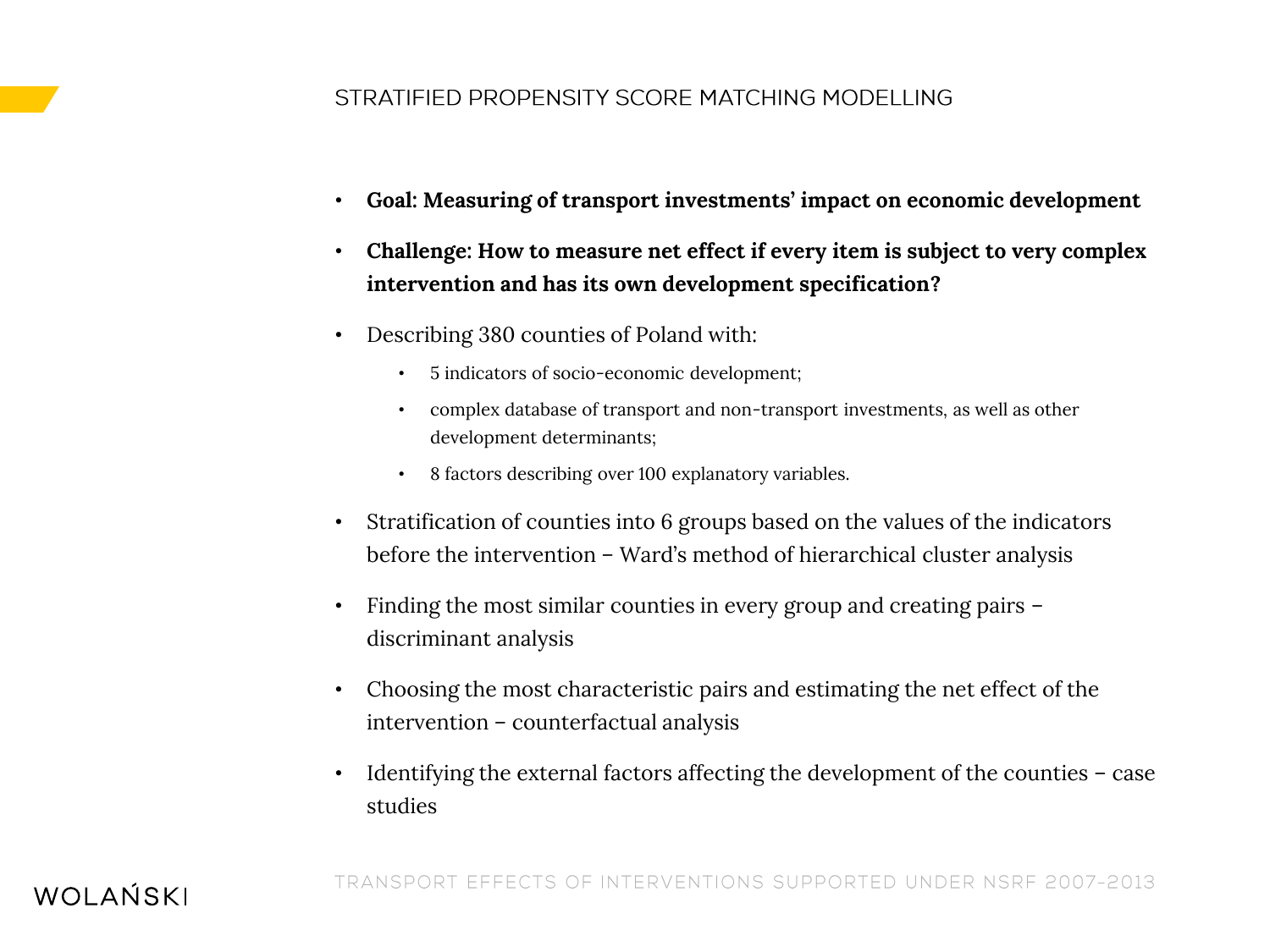### STRATIFIED PROPENSITY SCORE MATCHING MODELLING

- **Goal: Measuring of transport investments' impact on economic development**
- **Challenge: How to measure net effect if every item is subject to very complex intervention and has its own development specification?**
- Describing 380 counties of Poland with:
	- 5 indicators of socio-economic development;
	- complex database of transport and non-transport investments, as well as other development determinants;
	- 8 factors describing over 100 explanatory variables.
- Stratification of counties into 6 groups based on the values of the indicators before the intervention – Ward's method of hierarchical cluster analysis
- Finding the most similar counties in every group and creating pairs discriminant analysis
- Choosing the most characteristic pairs and estimating the net effect of the intervention – counterfactual analysis
- Identifying the external factors affecting the development of the counties case studies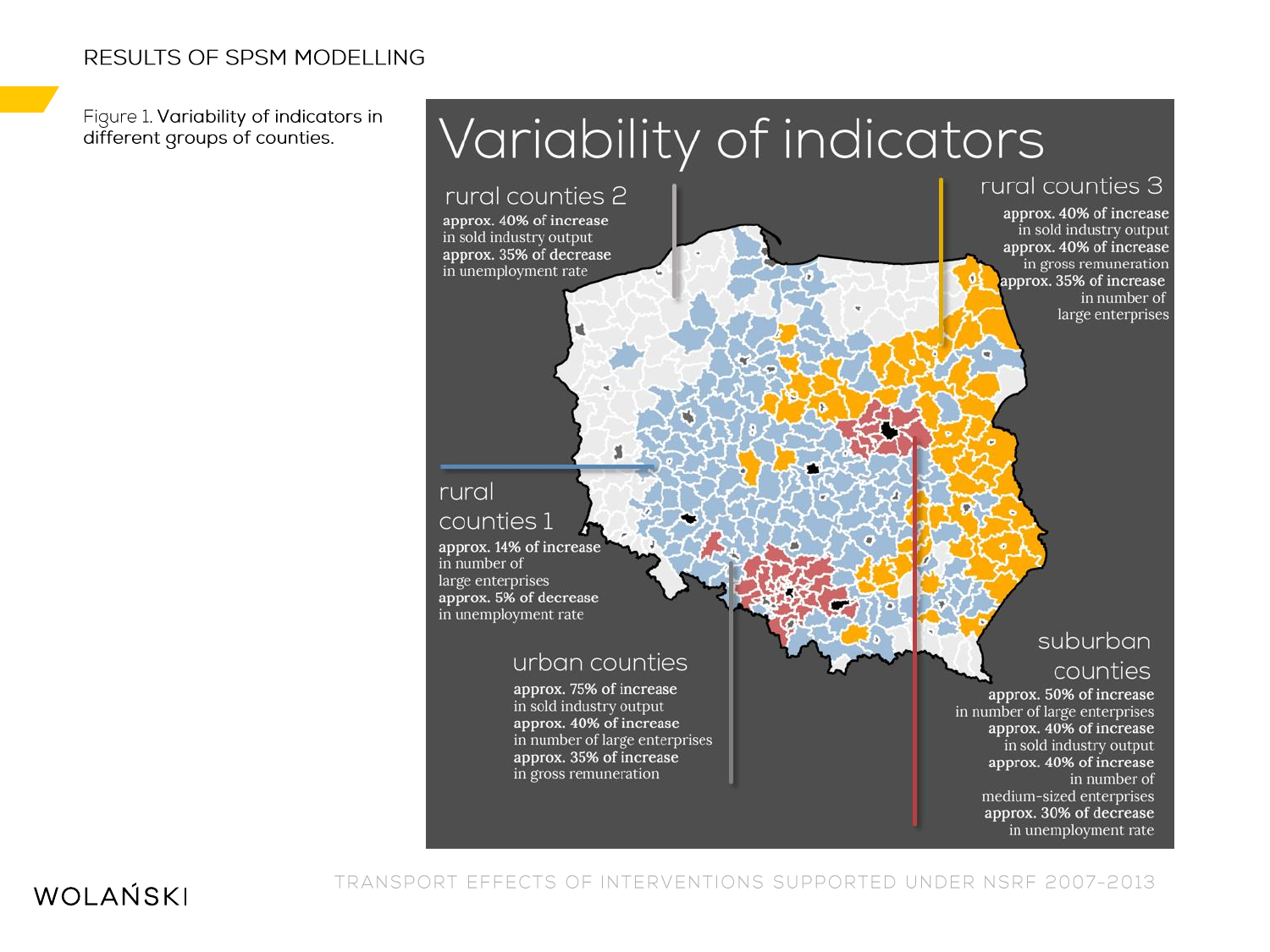### RESULTS OF SPSM MODELLING

Figure 1. Variability of indicators in different groups of counties.

# Variability of indicators



TRANSPORT EFFECTS OF INTERVENTIONS SUPPORTED UNDER NSRF 2007-2013

WOLAŃSKI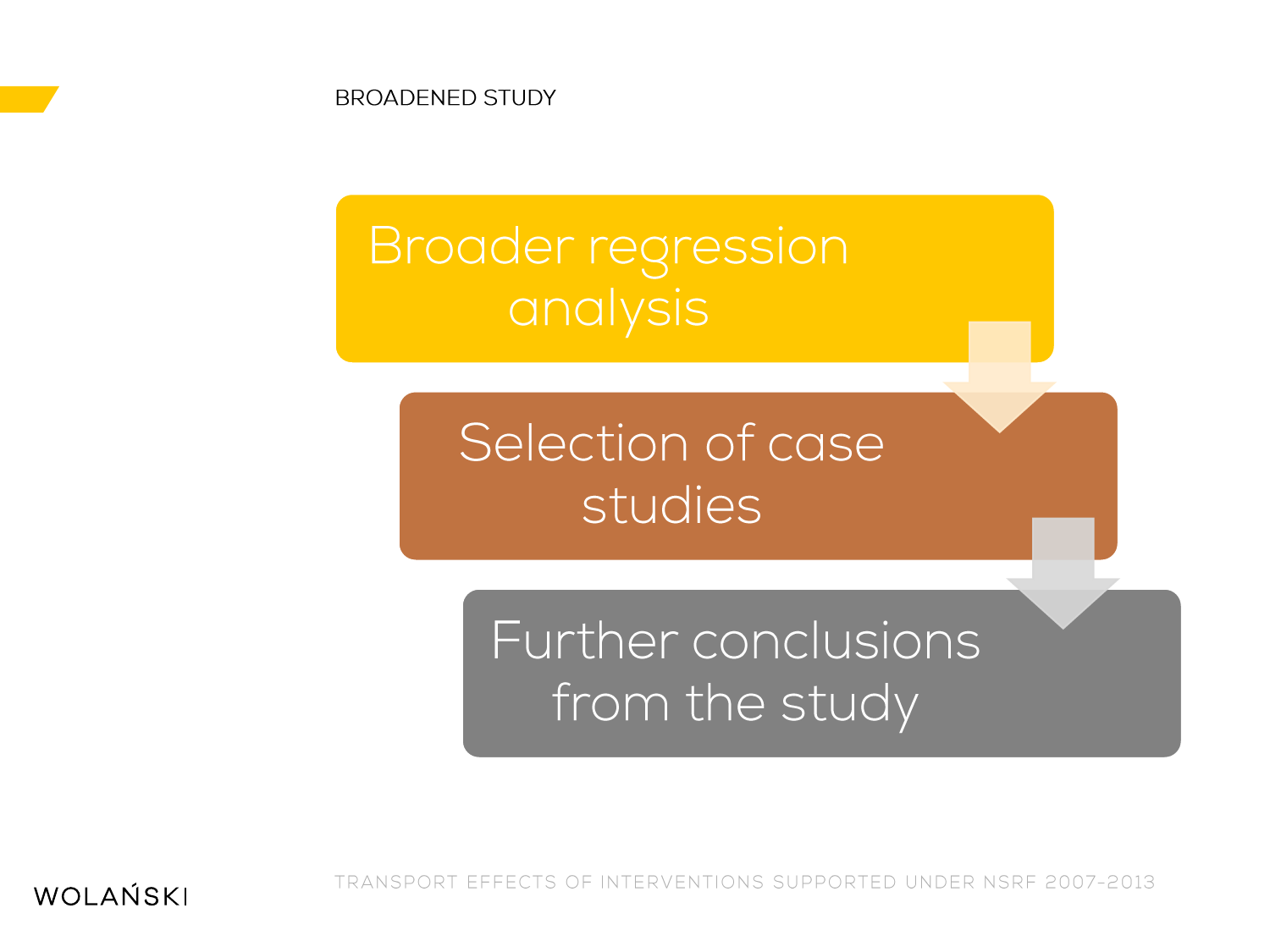**BROADENED STUDY** 

# **Broader regression** analysis

# Selection of case studies

Further conclusions from the study

**WOLANSKI** 

TRANSPORT EFFECTS OF INTERVENTIONS SUPPORTED UNDER NSRE 2007-2013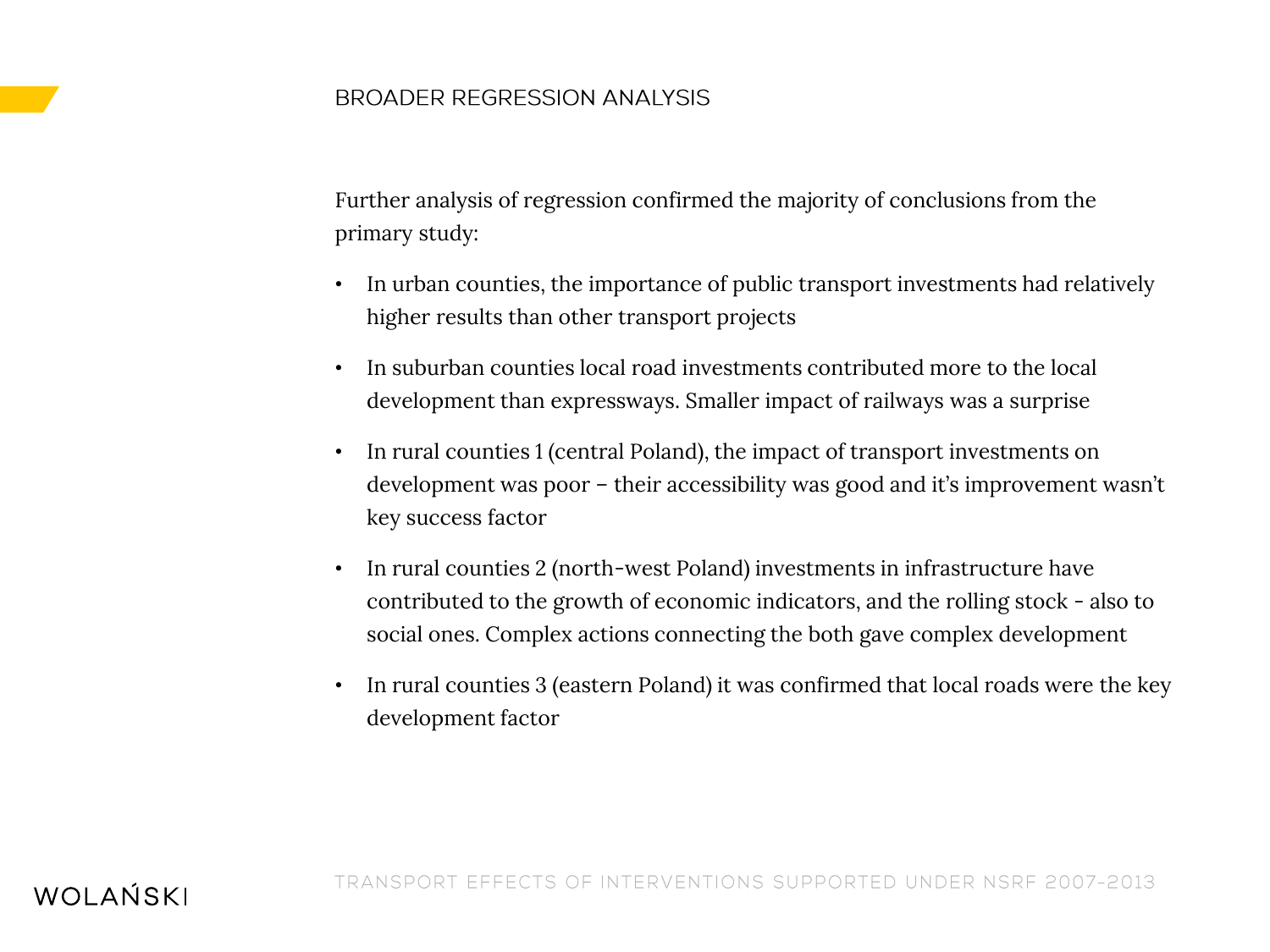#### BROADER REGRESSION ANALYSIS

Further analysis of regression confirmed the majority of conclusions from the primary study:

- In urban counties, the importance of public transport investments had relatively higher results than other transport projects
- In suburban counties local road investments contributed more to the local development than expressways. Smaller impact of railways was a surprise
- In rural counties 1 (central Poland), the impact of transport investments on development was poor – their accessibility was good and it's improvement wasn't key success factor
- In rural counties 2 (north-west Poland) investments in infrastructure have contributed to the growth of economic indicators, and the rolling stock - also to social ones. Complex actions connecting the both gave complex development
- In rural counties 3 (eastern Poland) it was confirmed that local roads were the key development factor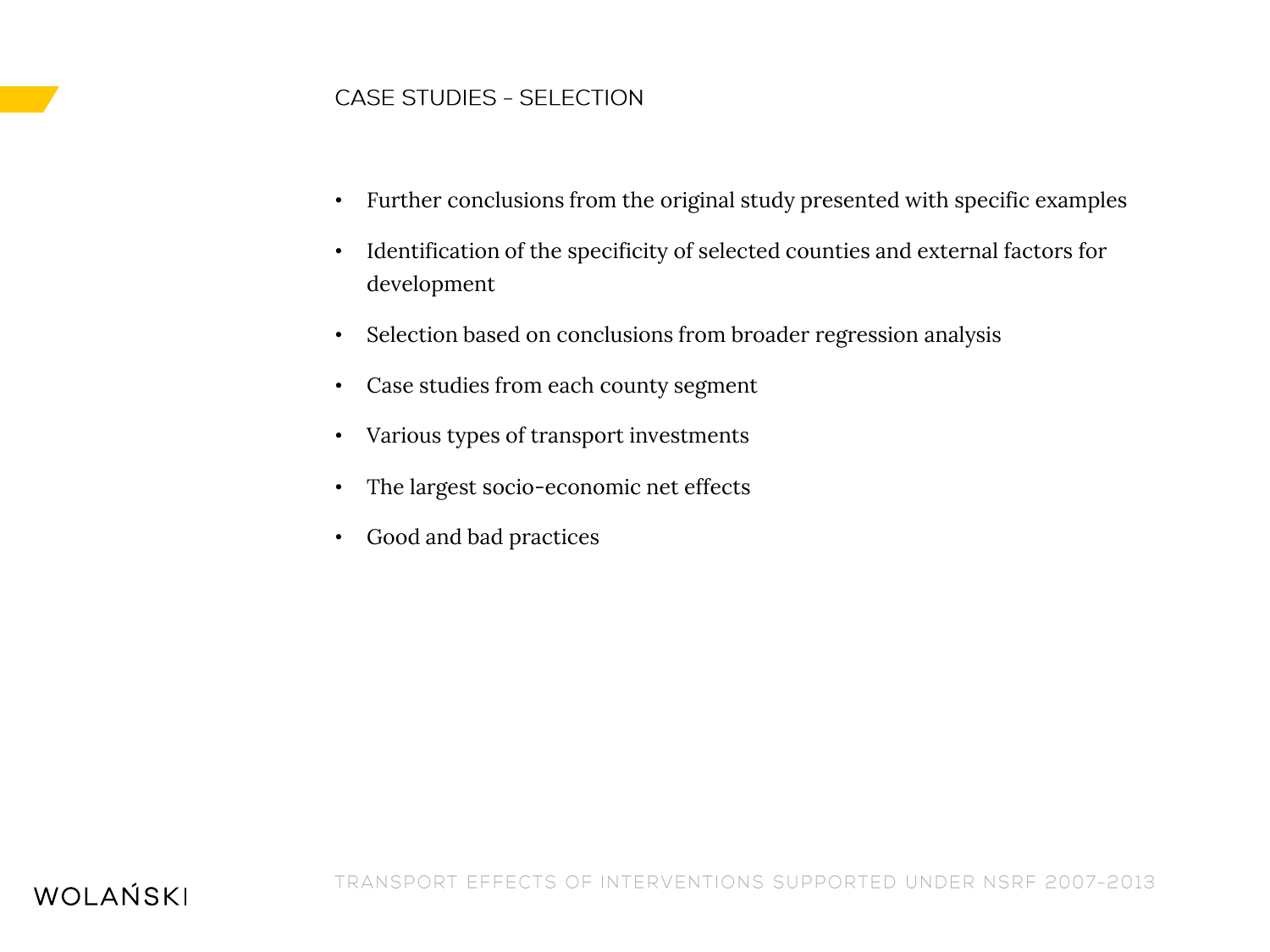## **CASE STUDIES - SELECTION**

- Further conclusions from the original study presented with specific examples
- Identification of the specificity of selected counties and external factors for development
- Selection based on conclusions from broader regression analysis
- Case studies from each county segment
- Various types of transport investments
- The largest socio-economic net effects
- Good and bad practices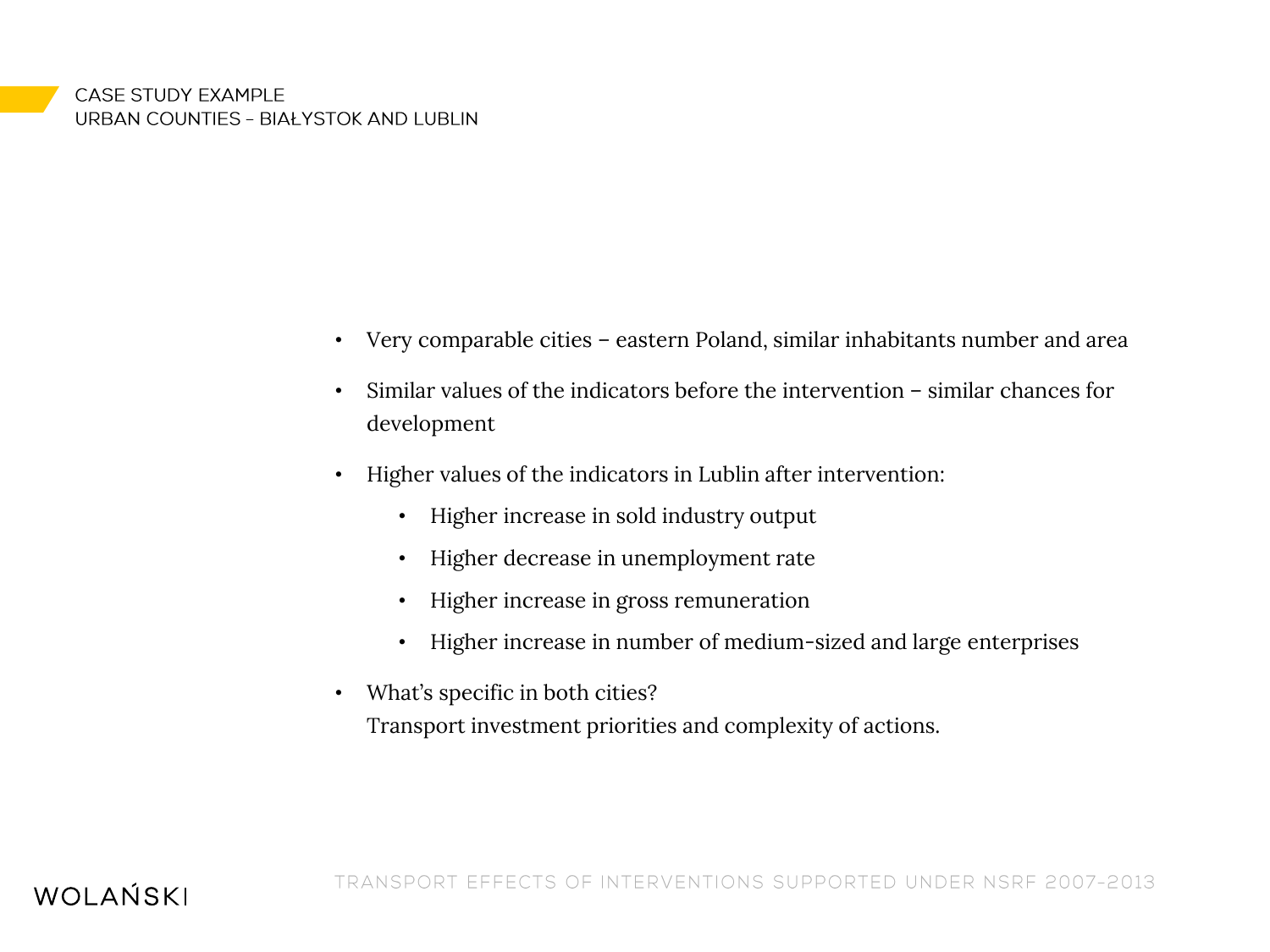- Very comparable cities eastern Poland, similar inhabitants number and area
- Similar values of the indicators before the intervention similar chances for development
- Higher values of the indicators in Lublin after intervention:
	- Higher increase in sold industry output
	- Higher decrease in unemployment rate
	- Higher increase in gross remuneration
	- Higher increase in number of medium-sized and large enterprises
- What's specific in both cities?

Transport investment priorities and complexity of actions.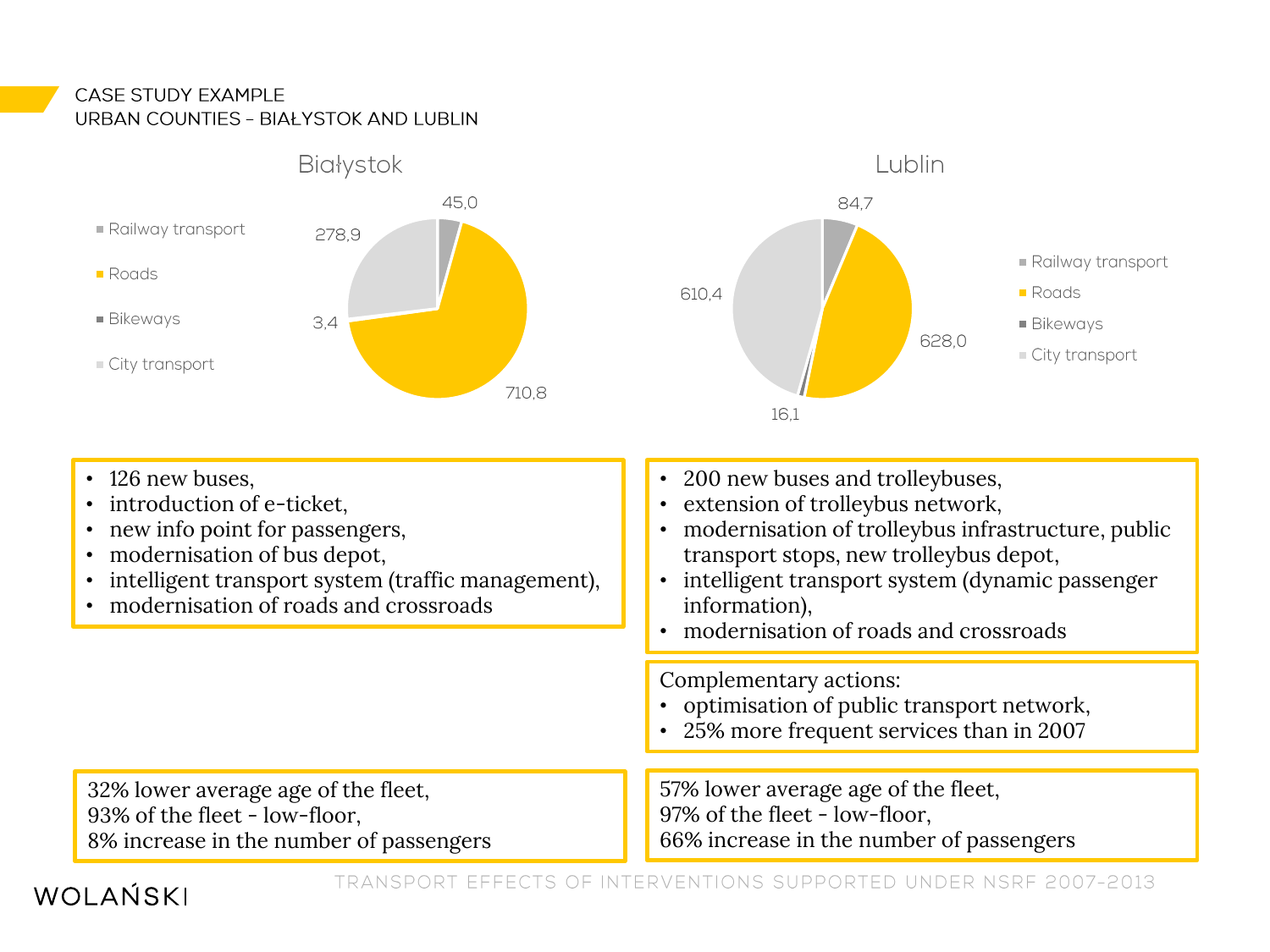#### **CASE STUDY EXAMPLE** URBAN COUNTIES - BIAŁYSTOK AND LUBLIN

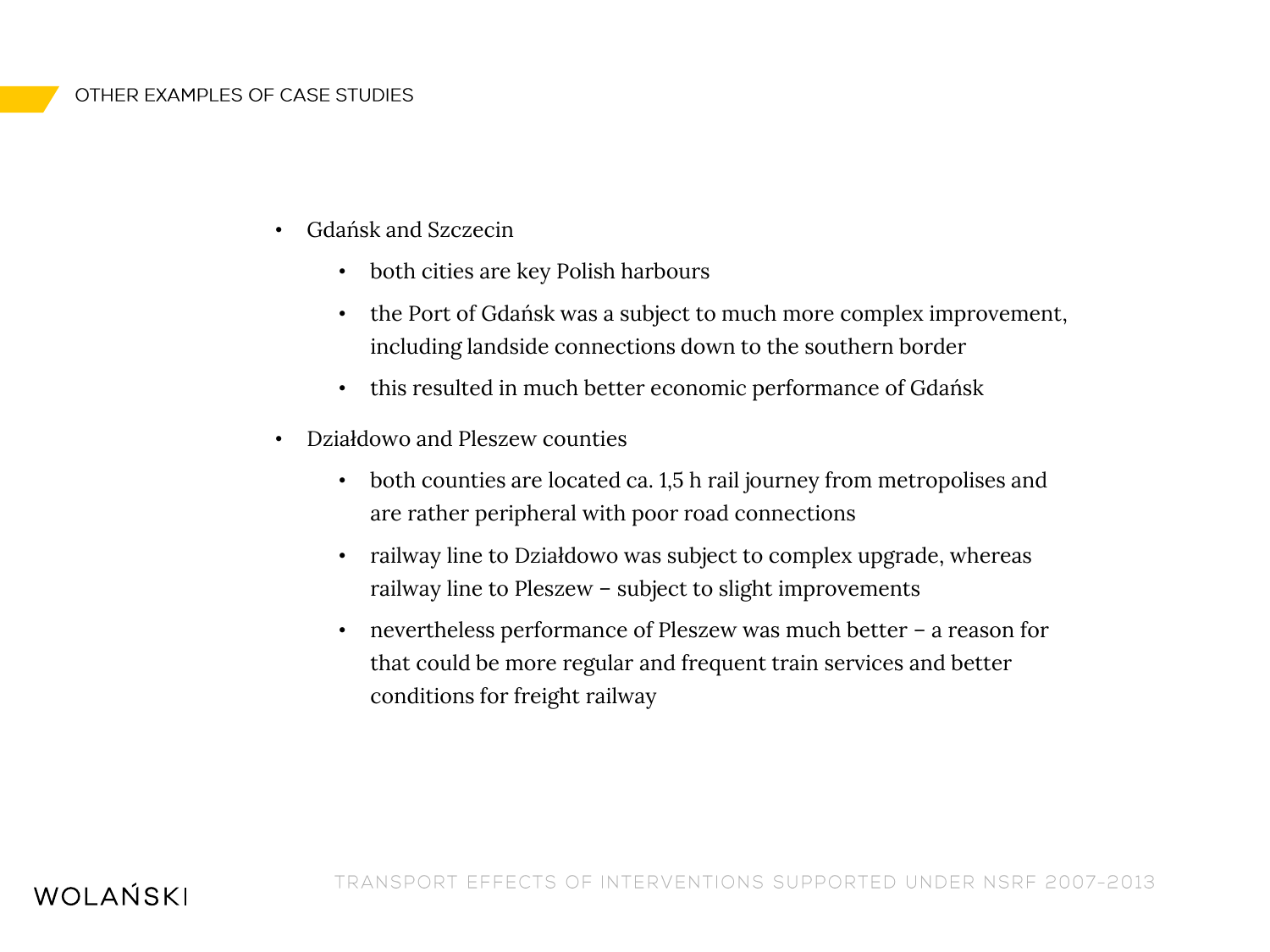- Gdańsk and Szczecin
	- both cities are key Polish harbours
	- the Port of Gdańsk was a subject to much more complex improvement, including landside connections down to the southern border
	- this resulted in much better economic performance of Gdańsk
- Działdowo and Pleszew counties
	- both counties are located ca. 1,5 h rail journey from metropolises and are rather peripheral with poor road connections
	- railway line to Działdowo was subject to complex upgrade, whereas railway line to Pleszew – subject to slight improvements
	- nevertheless performance of Pleszew was much better a reason for that could be more regular and frequent train services and better conditions for freight railway

WOLAŃSKI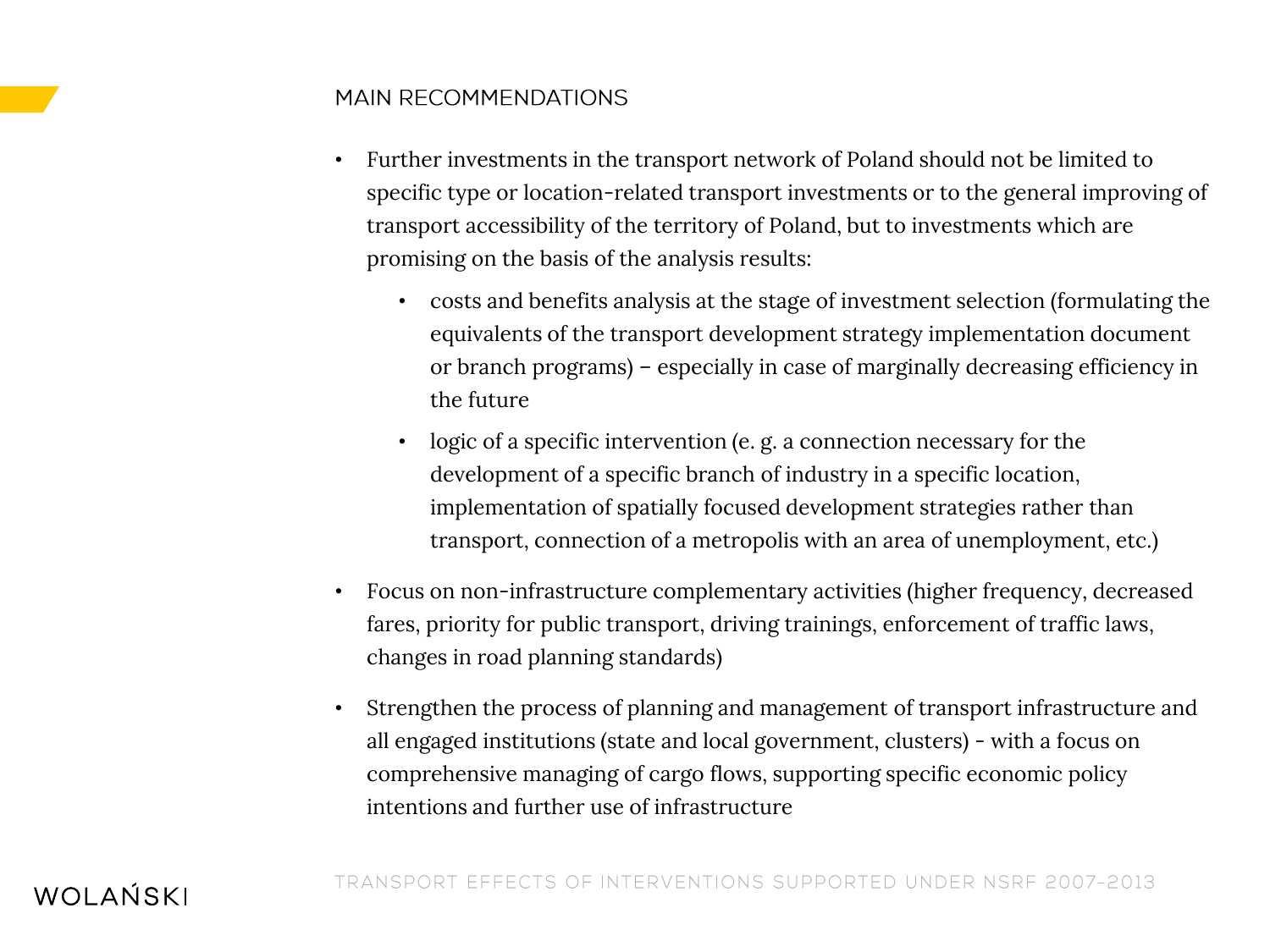## MAIN RECOMMENDATIONS

- Further investments in the transport network of Poland should not be limited to specific type or location-related transport investments or to the general improving of transport accessibility of the territory of Poland, but to investments which are promising on the basis of the analysis results:
	- costs and benefits analysis at the stage of investment selection (formulating the equivalents of the transport development strategy implementation document or branch programs) – especially in case of marginally decreasing efficiency in the future
	- logic of a specific intervention (e. g. a connection necessary for the development of a specific branch of industry in a specific location, implementation of spatially focused development strategies rather than transport, connection of a metropolis with an area of unemployment, etc.)
- Focus on non-infrastructure complementary activities (higher frequency, decreased fares, priority for public transport, driving trainings, enforcement of traffic laws, changes in road planning standards)
- Strengthen the process of planning and management of transport infrastructure and all engaged institutions (state and local government, clusters) - with a focus on comprehensive managing of cargo flows, supporting specific economic policy intentions and further use of infrastructure